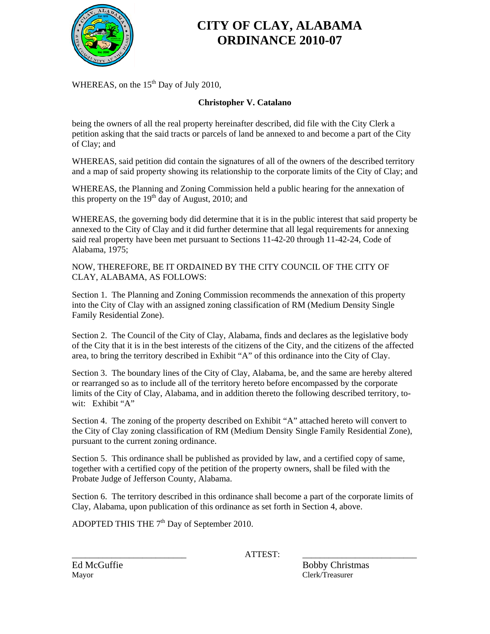

# **CITY OF CLAY, ALABAMA ORDINANCE 2010-07**

WHEREAS, on the  $15<sup>th</sup>$  Day of July 2010,

#### **Christopher V. Catalano**

being the owners of all the real property hereinafter described, did file with the City Clerk a petition asking that the said tracts or parcels of land be annexed to and become a part of the City of Clay; and

WHEREAS, said petition did contain the signatures of all of the owners of the described territory and a map of said property showing its relationship to the corporate limits of the City of Clay; and

WHEREAS, the Planning and Zoning Commission held a public hearing for the annexation of this property on the  $19<sup>th</sup>$  day of August, 2010; and

WHEREAS, the governing body did determine that it is in the public interest that said property be annexed to the City of Clay and it did further determine that all legal requirements for annexing said real property have been met pursuant to Sections 11-42-20 through 11-42-24, Code of Alabama, 1975;

NOW, THEREFORE, BE IT ORDAINED BY THE CITY COUNCIL OF THE CITY OF CLAY, ALABAMA, AS FOLLOWS:

Section 1. The Planning and Zoning Commission recommends the annexation of this property into the City of Clay with an assigned zoning classification of RM (Medium Density Single Family Residential Zone).

Section 2. The Council of the City of Clay, Alabama, finds and declares as the legislative body of the City that it is in the best interests of the citizens of the City, and the citizens of the affected area, to bring the territory described in Exhibit "A" of this ordinance into the City of Clay.

Section 3. The boundary lines of the City of Clay, Alabama, be, and the same are hereby altered or rearranged so as to include all of the territory hereto before encompassed by the corporate limits of the City of Clay, Alabama, and in addition thereto the following described territory, towit: Exhibit "A"

Section 4. The zoning of the property described on Exhibit "A" attached hereto will convert to the City of Clay zoning classification of RM (Medium Density Single Family Residential Zone), pursuant to the current zoning ordinance.

Section 5. This ordinance shall be published as provided by law, and a certified copy of same, together with a certified copy of the petition of the property owners, shall be filed with the Probate Judge of Jefferson County, Alabama.

Section 6. The territory described in this ordinance shall become a part of the corporate limits of Clay, Alabama, upon publication of this ordinance as set forth in Section 4, above.

ADOPTED THIS THE  $7<sup>th</sup>$  Day of September 2010.

\_\_\_\_\_\_\_\_\_\_\_\_\_\_\_\_\_\_\_\_\_\_\_\_\_\_ ATTEST: \_\_\_\_\_\_\_\_\_\_\_\_\_\_\_\_\_\_\_\_\_\_\_\_\_\_

Ed McGuffie Bobby Christmas Mayor Clerk/Treasurer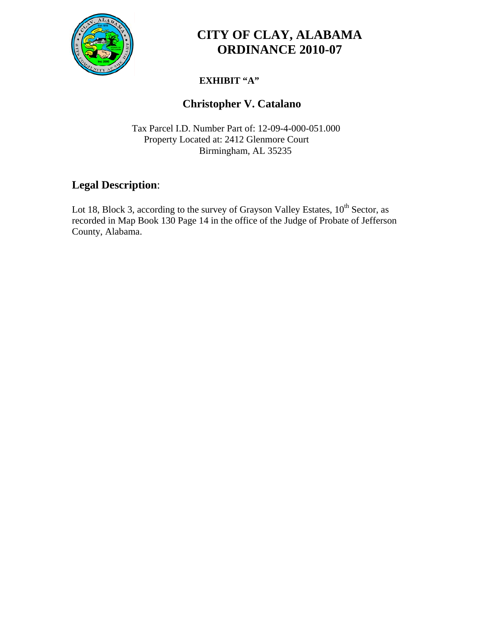

# **CITY OF CLAY, ALABAMA ORDINANCE 2010-07**

### **EXHIBIT "A"**

### **Christopher V. Catalano**

 Tax Parcel I.D. Number Part of: 12-09-4-000-051.000 Property Located at: 2412 Glenmore Court Birmingham, AL 35235

### **Legal Description**:

Lot 18, Block 3, according to the survey of Grayson Valley Estates,  $10^{th}$  Sector, as recorded in Map Book 130 Page 14 in the office of the Judge of Probate of Jefferson County, Alabama.